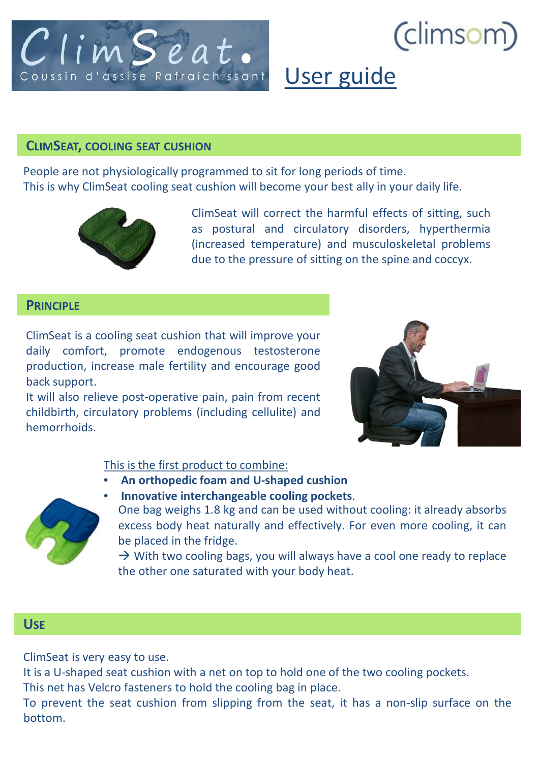

# (climsom

# User guide

# **CLIMSEAT, COOLING SEAT CUSHION**

People are not physiologically programmed to sit for long periods of time. This is why ClimSeat cooling seat cushion will become your best ally in your daily life.



ClimSeat will correct the harmful effects of sitting, such as postural and circulatory disorders, hyperthermia (increased temperature) and musculoskeletal problems due to the pressure of sitting on the spine and coccyx.

# **PRINCIPLE**

ClimSeat is a cooling seat cushion that will improve your daily comfort, promote endogenous testosterone production, increase male fertility and encourage good back support.

It will also relieve post-operative pain, pain from recent childbirth, circulatory problems (including cellulite) and hemorrhoids.



#### This is the first product to combine:

- **An orthopedic foam and U-shaped cushion**
- **Innovative interchangeable cooling pockets**.



One bag weighs 1.8 kg and can be used without cooling: it already absorbs excess body heat naturally and effectively. For even more cooling, it can be placed in the fridge.

 $\rightarrow$  With two cooling bags, you will always have a cool one ready to replace the other one saturated with your body heat.

# **USE**

ClimSeat is very easy to use.

It is a U-shaped seat cushion with a net on top to hold one of the two cooling pockets.

This net has Velcro fasteners to hold the cooling bag in place.

To prevent the seat cushion from slipping from the seat, it has a non-slip surface on the bottom.